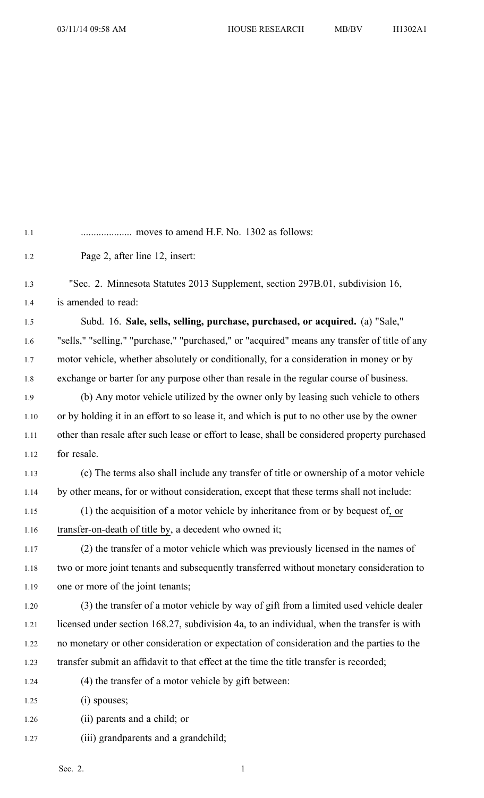| 1.1  |                                                                                               |
|------|-----------------------------------------------------------------------------------------------|
| 1.2  | Page 2, after line 12, insert:                                                                |
| 1.3  | "Sec. 2. Minnesota Statutes 2013 Supplement, section 297B.01, subdivision 16,                 |
| 1.4  | is amended to read:                                                                           |
| 1.5  | Subd. 16. Sale, sells, selling, purchase, purchased, or acquired. (a) "Sale,"                 |
| 1.6  | "sells," "selling," "purchase," "purchased," or "acquired" means any transfer of title of any |
| 1.7  | motor vehicle, whether absolutely or conditionally, for a consideration in money or by        |
| 1.8  | exchange or barter for any purpose other than resale in the regular course of business.       |
| 1.9  | (b) Any motor vehicle utilized by the owner only by leasing such vehicle to others            |
| 1.10 | or by holding it in an effort to so lease it, and which is put to no other use by the owner   |
| 1.11 | other than resale after such lease or effort to lease, shall be considered property purchased |
| 1.12 | for resale.                                                                                   |
| 1.13 | (c) The terms also shall include any transfer of title or ownership of a motor vehicle        |
| 1.14 | by other means, for or without consideration, except that these terms shall not include:      |
| 1.15 | (1) the acquisition of a motor vehicle by inheritance from or by bequest of, or               |
| 1.16 | transfer-on-death of title by, a decedent who owned it;                                       |
| 1.17 | (2) the transfer of a motor vehicle which was previously licensed in the names of             |
| 1.18 | two or more joint tenants and subsequently transferred without monetary consideration to      |
| 1.19 | one or more of the joint tenants;                                                             |
| 1.20 | (3) the transfer of a motor vehicle by way of gift from a limited used vehicle dealer         |
| 1.21 | licensed under section 168.27, subdivision 4a, to an individual, when the transfer is with    |
| 1.22 | no monetary or other consideration or expectation of consideration and the parties to the     |
| 1.23 | transfer submit an affidavit to that effect at the time the title transfer is recorded;       |
| 1.24 | (4) the transfer of a motor vehicle by gift between:                                          |
| 1.25 | $(i)$ spouses;                                                                                |
| 1.26 | (ii) parents and a child; or                                                                  |

1.27 (iii) grandparents and a grandchild;